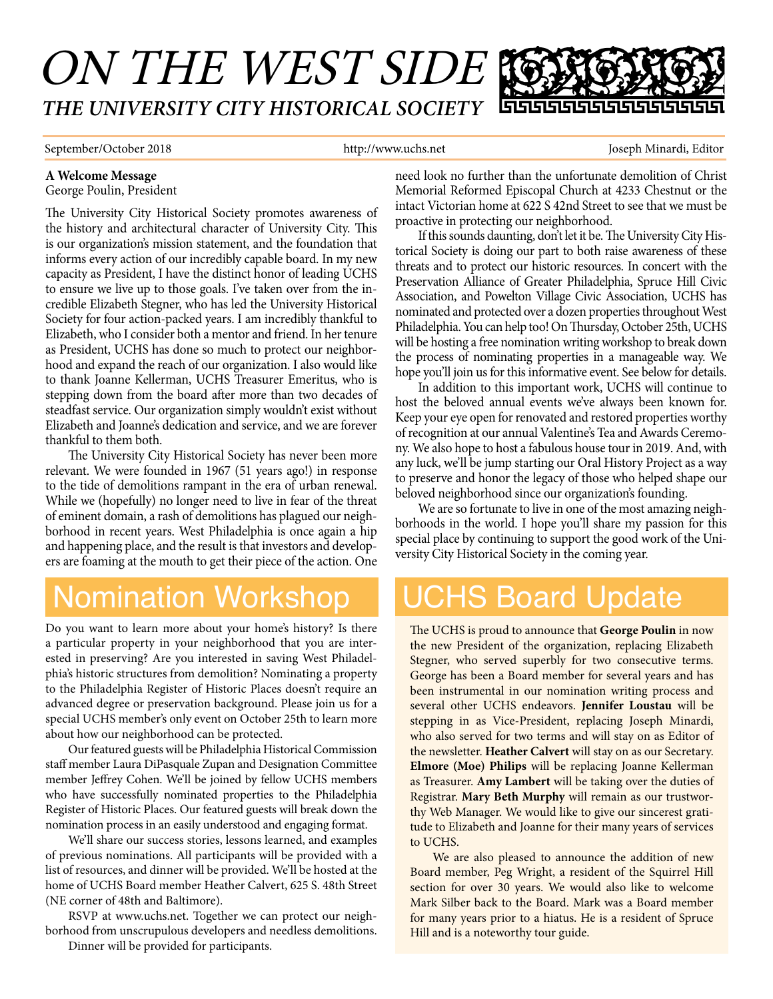### ON THE WEST SIDE *THE UNIVERSITY CITY HISTORICAL SOCIETY* 666666666666

September/October 2018 http://www.uchs.net Joseph Minardi, Editor Joseph Minardi, Editor

#### **A Welcome Message**

George Poulin, President

The University City Historical Society promotes awareness of the history and architectural character of University City. This is our organization's mission statement, and the foundation that informs every action of our incredibly capable board. In my new capacity as President, I have the distinct honor of leading UCHS to ensure we live up to those goals. I've taken over from the incredible Elizabeth Stegner, who has led the University Historical Society for four action-packed years. I am incredibly thankful to Elizabeth, who I consider both a mentor and friend. In her tenure as President, UCHS has done so much to protect our neighborhood and expand the reach of our organization. I also would like to thank Joanne Kellerman, UCHS Treasurer Emeritus, who is stepping down from the board after more than two decades of steadfast service. Our organization simply wouldn't exist without Elizabeth and Joanne's dedication and service, and we are forever thankful to them both.

The University City Historical Society has never been more relevant. We were founded in 1967 (51 years ago!) in response to the tide of demolitions rampant in the era of urban renewal. While we (hopefully) no longer need to live in fear of the threat of eminent domain, a rash of demolitions has plagued our neighborhood in recent years. West Philadelphia is once again a hip and happening place, and the result is that investors and developers are foaming at the mouth to get their piece of the action. One

## Nomination Workshop

Do you want to learn more about your home's history? Is there a particular property in your neighborhood that you are interested in preserving? Are you interested in saving West Philadelphia's historic structures from demolition? Nominating a property to the Philadelphia Register of Historic Places doesn't require an advanced degree or preservation background. Please join us for a special UCHS member's only event on October 25th to learn more about how our neighborhood can be protected.

Our featured guests will be Philadelphia Historical Commission staff member Laura DiPasquale Zupan and Designation Committee member Jeffrey Cohen. We'll be joined by fellow UCHS members who have successfully nominated properties to the Philadelphia Register of Historic Places. Our featured guests will break down the nomination process in an easily understood and engaging format.

We'll share our success stories, lessons learned, and examples of previous nominations. All participants will be provided with a list of resources, and dinner will be provided. We'll be hosted at the home of UCHS Board member Heather Calvert, 625 S. 48th Street (NE corner of 48th and Baltimore).

RSVP at www.uchs.net. Together we can protect our neighborhood from unscrupulous developers and needless demolitions.

Dinner will be provided for participants.

need look no further than the unfortunate demolition of Christ Memorial Reformed Episcopal Church at 4233 Chestnut or the intact Victorian home at 622 S 42nd Street to see that we must be proactive in protecting our neighborhood.

If this sounds daunting, don't let it be. The University City Historical Society is doing our part to both raise awareness of these threats and to protect our historic resources. In concert with the Preservation Alliance of Greater Philadelphia, Spruce Hill Civic Association, and Powelton Village Civic Association, UCHS has nominated and protected over a dozen properties throughout West Philadelphia. You can help too! On Thursday, October 25th, UCHS will be hosting a free nomination writing workshop to break down the process of nominating properties in a manageable way. We hope you'll join us for this informative event. See below for details.

In addition to this important work, UCHS will continue to host the beloved annual events we've always been known for. Keep your eye open for renovated and restored properties worthy of recognition at our annual Valentine's Tea and Awards Ceremony. We also hope to host a fabulous house tour in 2019. And, with any luck, we'll be jump starting our Oral History Project as a way to preserve and honor the legacy of those who helped shape our beloved neighborhood since our organization's founding.

We are so fortunate to live in one of the most amazing neighborhoods in the world. I hope you'll share my passion for this special place by continuing to support the good work of the University City Historical Society in the coming year.

# UCHS Board Update

The UCHS is proud to announce that **George Poulin** in now the new President of the organization, replacing Elizabeth Stegner, who served superbly for two consecutive terms. George has been a Board member for several years and has been instrumental in our nomination writing process and several other UCHS endeavors. **Jennifer Loustau** will be stepping in as Vice-President, replacing Joseph Minardi, who also served for two terms and will stay on as Editor of the newsletter. **Heather Calvert** will stay on as our Secretary. **Elmore (Moe) Philips** will be replacing Joanne Kellerman as Treasurer. **Amy Lambert** will be taking over the duties of Registrar. **Mary Beth Murphy** will remain as our trustworthy Web Manager. We would like to give our sincerest gratitude to Elizabeth and Joanne for their many years of services to UCHS.

We are also pleased to announce the addition of new Board member, Peg Wright, a resident of the Squirrel Hill section for over 30 years. We would also like to welcome Mark Silber back to the Board. Mark was a Board member for many years prior to a hiatus. He is a resident of Spruce Hill and is a noteworthy tour guide.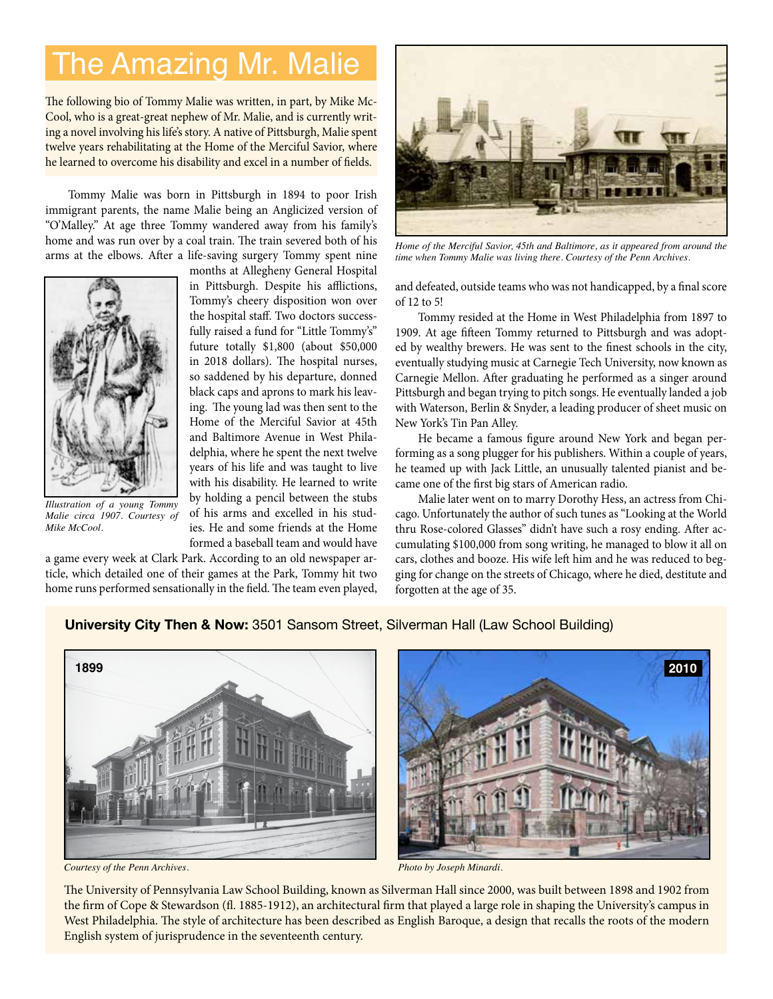# The Amazing Mr. Malie

The following bio of Tommy Malie was written, in part, by Mike Mc-Cool, who is a great-great nephew of Mr. Malie, and is currently writing a novel involving his life's story. A native of Pittsburgh, Malie spent twelve years rehabilitating at the Home of the Merciful Savior, where he learned to overcome his disability and excel in a number of fields.

Tommy Malie was born in Pittsburgh in 1894 to poor Irish immigrant parents, the name Malie being an Anglicized version of "O'Malley." At age three Tommy wandered away from his family's home and was run over by a coal train. The train severed both of his arms at the elbows. After a life-saving surgery Tommy spent nine



*Illustration of a young Tommy Malie circa 1907. Courtesy of Mike McCool.*

months at Allegheny General Hospital in Pittsburgh. Despite his afflictions, Tommy's cheery disposition won over the hospital staff. Two doctors successfully raised a fund for "Little Tommy's" future totally \$1,800 (about \$50,000 in 2018 dollars). The hospital nurses, so saddened by his departure, donned black caps and aprons to mark his leaving. The young lad was then sent to the Home of the Merciful Savior at 45th and Baltimore Avenue in West Philadelphia, where he spent the next twelve years of his life and was taught to live with his disability. He learned to write by holding a pencil between the stubs of his arms and excelled in his studies. He and some friends at the Home formed a baseball team and would have

a game every week at Clark Park. According to an old newspaper article, which detailed one of their games at the Park, Tommy hit two home runs performed sensationally in the field. The team even played,



*Home of the Merciful Savior, 45th and Baltimore, as it appeared from around the time when Tommy Malie was living there. Courtesy of the Penn Archives.*

and defeated, outside teams who was not handicapped, by a final score of 12 to 5!

Tommy resided at the Home in West Philadelphia from 1897 to 1909. At age fifteen Tommy returned to Pittsburgh and was adopted by wealthy brewers. He was sent to the finest schools in the city, eventually studying music at Carnegie Tech University, now known as Carnegie Mellon. After graduating he performed as a singer around Pittsburgh and began trying to pitch songs. He eventually landed a job with Waterson, Berlin & Snyder, a leading producer of sheet music on New York's Tin Pan Alley.

He became a famous figure around New York and began performing as a song plugger for his publishers. Within a couple of years, he teamed up with Jack Little, an unusually talented pianist and became one of the first big stars of American radio.

Malie later went on to marry Dorothy Hess, an actress from Chicago. Unfortunately the author of such tunes as "Looking at the World thru Rose-colored Glasses" didn't have such a rosy ending. After accumulating \$100,000 from song writing, he managed to blow it all on cars, clothes and booze. His wife left him and he was reduced to begging for change on the streets of Chicago, where he died, destitute and forgotten at the age of 35.

#### **University City Then & Now:** 3501 Sansom Street, Silverman Hall (Law School Building)



*Courtesy of the Penn Archives. Photo by Joseph Minardi.*



The University of Pennsylvania Law School Building, known as Silverman Hall since 2000, was built between 1898 and 1902 from the firm of Cope & Stewardson (fl. 1885-1912), an architectural firm that played a large role in shaping the University's campus in West Philadelphia. The style of architecture has been described as English Baroque, a design that recalls the roots of the modern English system of jurisprudence in the seventeenth century.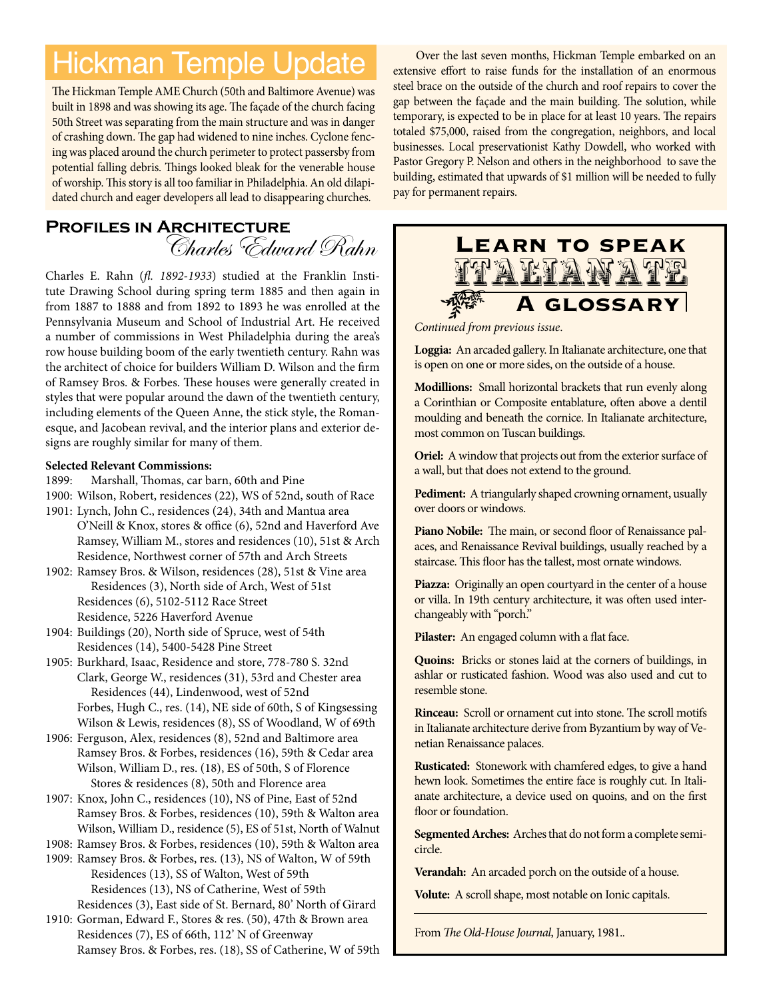# Hickman Temple Update

The Hickman Temple AME Church (50th and Baltimore Avenue) was built in 1898 and was showing its age. The façade of the church facing 50th Street was separating from the main structure and was in danger of crashing down. The gap had widened to nine inches. Cyclone fencing was placed around the church perimeter to protect passersby from potential falling debris. Things looked bleak for the venerable house of worship. This story is all too familiar in Philadelphia. An old dilapidated church and eager developers all lead to disappearing churches.

### **Profiles in Architecture** Charles Edward Rahn

Charles E. Rahn (*fl. 1892-1933*) studied at the Franklin Institute Drawing School during spring term 1885 and then again in from 1887 to 1888 and from 1892 to 1893 he was enrolled at the Pennsylvania Museum and School of Industrial Art. He received a number of commissions in West Philadelphia during the area's row house building boom of the early twentieth century. Rahn was the architect of choice for builders William D. Wilson and the firm of Ramsey Bros. & Forbes. These houses were generally created in styles that were popular around the dawn of the twentieth century, including elements of the Queen Anne, the stick style, the Romanesque, and Jacobean revival, and the interior plans and exterior designs are roughly similar for many of them.

#### **Selected Relevant Commissions:**

- 1899: Marshall, Thomas, car barn, 60th and Pine
- 1900: Wilson, Robert, residences (22), WS of 52nd, south of Race
- 1901: Lynch, John C., residences (24), 34th and Mantua area O'Neill & Knox, stores & office (6), 52nd and Haverford Ave Ramsey, William M., stores and residences (10), 51st & Arch Residence, Northwest corner of 57th and Arch Streets
- 1902: Ramsey Bros. & Wilson, residences (28), 51st & Vine area Residences (3), North side of Arch, West of 51st Residences (6), 5102-5112 Race Street Residence, 5226 Haverford Avenue
- 1904: Buildings (20), North side of Spruce, west of 54th Residences (14), 5400-5428 Pine Street
- 1905: Burkhard, Isaac, Residence and store, 778-780 S. 32nd Clark, George W., residences (31), 53rd and Chester area Residences (44), Lindenwood, west of 52nd Forbes, Hugh C., res. (14), NE side of 60th, S of Kingsessing Wilson & Lewis, residences (8), SS of Woodland, W of 69th
- 1906: Ferguson, Alex, residences (8), 52nd and Baltimore area Ramsey Bros. & Forbes, residences (16), 59th & Cedar area Wilson, William D., res. (18), ES of 50th, S of Florence Stores & residences (8), 50th and Florence area
- 1907: Knox, John C., residences (10), NS of Pine, East of 52nd Ramsey Bros. & Forbes, residences (10), 59th & Walton area Wilson, William D., residence (5), ES of 51st, North of Walnut
- 1908: Ramsey Bros. & Forbes, residences (10), 59th & Walton area
- 1909: Ramsey Bros. & Forbes, res. (13), NS of Walton, W of 59th Residences (13), SS of Walton, West of 59th Residences (13), NS of Catherine, West of 59th Residences (3), East side of St. Bernard, 80' North of Girard
- 1910: Gorman, Edward F., Stores & res. (50), 47th & Brown area Residences (7), ES of 66th, 112' N of Greenway Ramsey Bros. & Forbes, res. (18), SS of Catherine, W of 59th

Over the last seven months, Hickman Temple embarked on an extensive effort to raise funds for the installation of an enormous steel brace on the outside of the church and roof repairs to cover the gap between the façade and the main building. The solution, while temporary, is expected to be in place for at least 10 years. The repairs totaled \$75,000, raised from the congregation, neighbors, and local businesses. Local preservationist Kathy Dowdell, who worked with Pastor Gregory P. Nelson and others in the neighborhood to save the building, estimated that upwards of \$1 million will be needed to fully pay for permanent repairs.



*Continued from previous issue*.

**Loggia:** An arcaded gallery. In Italianate architecture, one that is open on one or more sides, on the outside of a house.

**Modillions:** Small horizontal brackets that run evenly along a Corinthian or Composite entablature, often above a dentil moulding and beneath the cornice. In Italianate architecture, most common on Tuscan buildings.

**Oriel:** A window that projects out from the exterior surface of a wall, but that does not extend to the ground.

**Pediment:** A triangularly shaped crowning ornament, usually over doors or windows.

**Piano Nobile:** The main, or second floor of Renaissance palaces, and Renaissance Revival buildings, usually reached by a staircase. This floor has the tallest, most ornate windows.

**Piazza:** Originally an open courtyard in the center of a house or villa. In 19th century architecture, it was often used interchangeably with "porch."

**Pilaster:** An engaged column with a flat face.

**Quoins:** Bricks or stones laid at the corners of buildings, in ashlar or rusticated fashion. Wood was also used and cut to resemble stone.

**Rinceau:** Scroll or ornament cut into stone. The scroll motifs in Italianate architecture derive from Byzantium by way of Venetian Renaissance palaces.

**Rusticated:** Stonework with chamfered edges, to give a hand hewn look. Sometimes the entire face is roughly cut. In Italianate architecture, a device used on quoins, and on the first floor or foundation.

**Segmented Arches:** Arches that do not form a complete semicircle.

**Verandah:** An arcaded porch on the outside of a house.

**Volute:** A scroll shape, most notable on Ionic capitals.

From *The Old-House Journal*, January, 1981.*.*